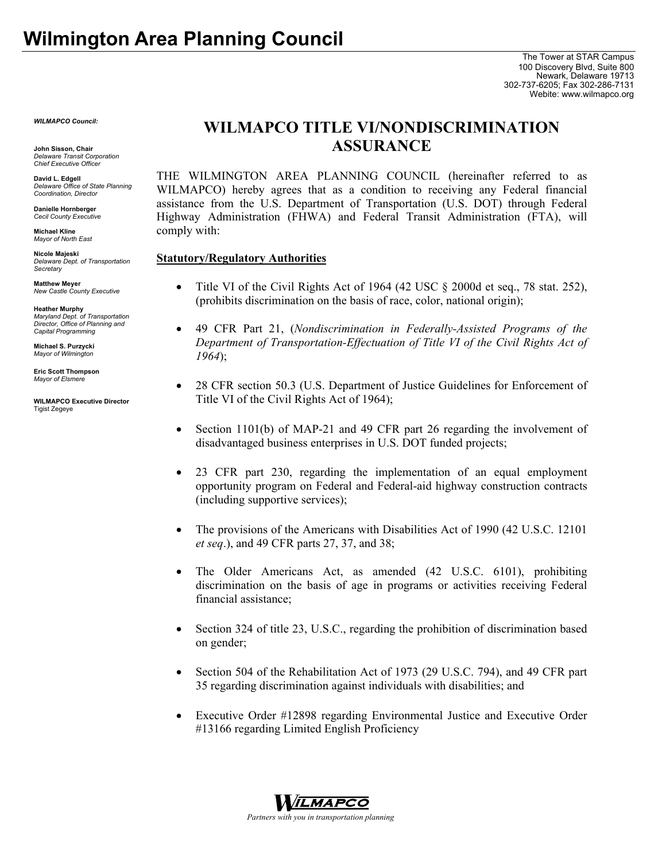*WILMAPCO Council:*

**John Sisson, Chair**  *Delaware Transit Corporation Chief Executive Officer*

**David L. Edgell**  *Delaware Office of State Planning Coordination, Director*

**Danielle Hornberger**  *Cecil County Executive* 

**Michael Kline**  *Mayor of North East* 

**Nicole Majeski**  *Delaware Dept. of Transportation Secretary*

**Matthew Meyer**  *New Castle County Executive* 

**Heather Murphy**  *Maryland Dept. of Transportation Director, Office of Planning and Capital Programming* 

**Michael S. Purzycki** *Mayor of Wilmington* 

**Eric Scott Thompson**  *Mayor of Elsmere* 

**WILMAPCO Executive Director**  Tigist Zegeye

## **WILMAPCO TITLE VI/NONDISCRIMINATION ASSURANCE**

THE WILMINGTON AREA PLANNING COUNCIL (hereinafter referred to as WILMAPCO) hereby agrees that as a condition to receiving any Federal financial assistance from the U.S. Department of Transportation (U.S. DOT) through Federal Highway Administration (FHWA) and Federal Transit Administration (FTA), will comply with:

### **Statutory/Regulatory Authorities**

- Title VI of the Civil Rights Act of 1964 (42 USC  $\S$  2000d et seq., 78 stat. 252), (prohibits discrimination on the basis of race, color, national origin);
- 49 CFR Part 21, (*Nondiscrimination in Federally-Assisted Programs of the Department of Transportation-Effectuation of Title VI of the Civil Rights Act of 1964*);
- 28 CFR section 50.3 (U.S. Department of Justice Guidelines for Enforcement of Title VI of the Civil Rights Act of 1964);
- Section 1101(b) of MAP-21 and 49 CFR part 26 regarding the involvement of disadvantaged business enterprises in U.S. DOT funded projects;
- 23 CFR part 230, regarding the implementation of an equal employment opportunity program on Federal and Federal-aid highway construction contracts (including supportive services);
- The provisions of the Americans with Disabilities Act of 1990 (42 U.S.C. 12101) *et seq*.), and 49 CFR parts 27, 37, and 38;
- The Older Americans Act, as amended (42 U.S.C. 6101), prohibiting discrimination on the basis of age in programs or activities receiving Federal financial assistance;
- Section 324 of title 23, U.S.C., regarding the prohibition of discrimination based on gender;
- Section 504 of the Rehabilitation Act of 1973 (29 U.S.C. 794), and 49 CFR part 35 regarding discrimination against individuals with disabilities; and
- Executive Order #12898 regarding Environmental Justice and Executive Order #13166 regarding Limited English Proficiency

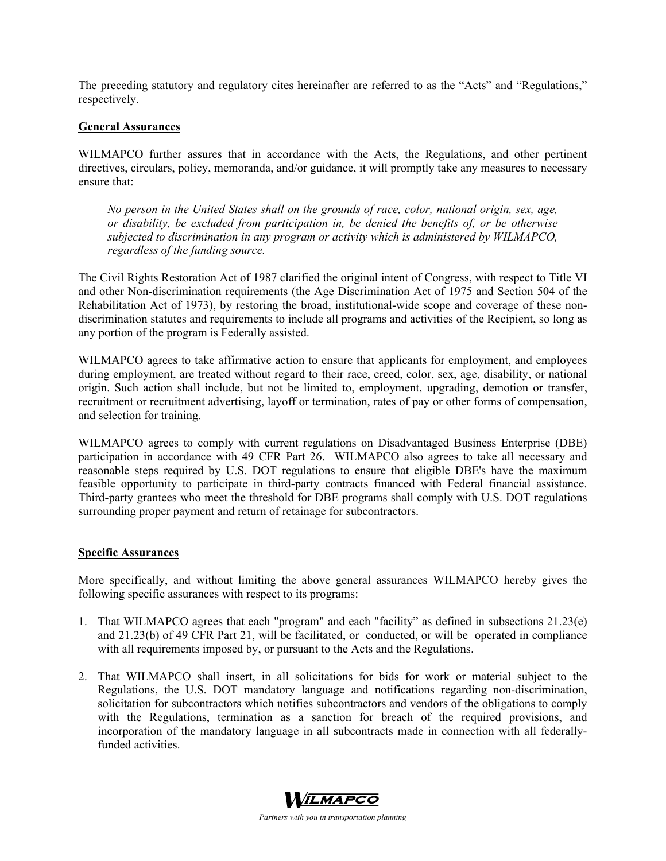The preceding statutory and regulatory cites hereinafter are referred to as the "Acts" and "Regulations," respectively.

### **General Assurances**

WILMAPCO further assures that in accordance with the Acts, the Regulations, and other pertinent directives, circulars, policy, memoranda, and/or guidance, it will promptly take any measures to necessary ensure that:

*No person in the United States shall on the grounds of race, color, national origin, sex, age, or disability, be excluded from participation in, be denied the benefits of, or be otherwise subjected to discrimination in any program or activity which is administered by WILMAPCO, regardless of the funding source.*

The Civil Rights Restoration Act of 1987 clarified the original intent of Congress, with respect to Title VI and other Non-discrimination requirements (the Age Discrimination Act of 1975 and Section 504 of the Rehabilitation Act of 1973), by restoring the broad, institutional-wide scope and coverage of these nondiscrimination statutes and requirements to include all programs and activities of the Recipient, so long as any portion of the program is Federally assisted.

WILMAPCO agrees to take affirmative action to ensure that applicants for employment, and employees during employment, are treated without regard to their race, creed, color, sex, age, disability, or national origin. Such action shall include, but not be limited to, employment, upgrading, demotion or transfer, recruitment or recruitment advertising, layoff or termination, rates of pay or other forms of compensation, and selection for training.

WILMAPCO agrees to comply with current regulations on Disadvantaged Business Enterprise (DBE) participation in accordance with 49 CFR Part 26. WILMAPCO also agrees to take all necessary and reasonable steps required by U.S. DOT regulations to ensure that eligible DBE's have the maximum feasible opportunity to participate in third-party contracts financed with Federal financial assistance. Third-party grantees who meet the threshold for DBE programs shall comply with U.S. DOT regulations surrounding proper payment and return of retainage for subcontractors.

### **Specific Assurances**

More specifically, and without limiting the above general assurances WILMAPCO hereby gives the following specific assurances with respect to its programs:

- 1. That WILMAPCO agrees that each "program" and each "facility" as defined in subsections 21.23(e) and 21.23(b) of 49 CFR Part 21, will be facilitated, or conducted, or will be operated in compliance with all requirements imposed by, or pursuant to the Acts and the Regulations.
- 2. That WILMAPCO shall insert, in all solicitations for bids for work or material subject to the Regulations, the U.S. DOT mandatory language and notifications regarding non-discrimination, solicitation for subcontractors which notifies subcontractors and vendors of the obligations to comply with the Regulations, termination as a sanction for breach of the required provisions, and incorporation of the mandatory language in all subcontracts made in connection with all federallyfunded activities.

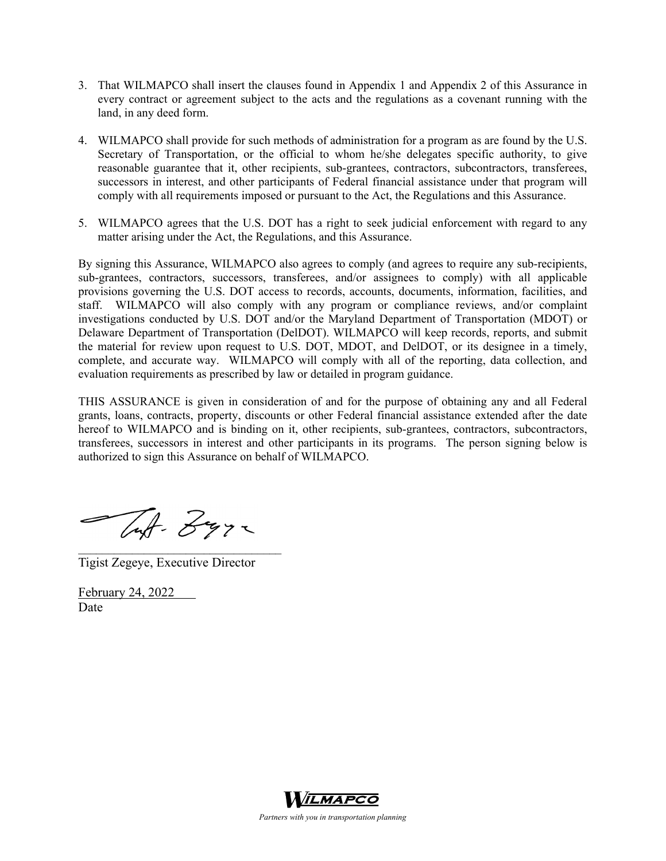- 3. That WILMAPCO shall insert the clauses found in Appendix 1 and Appendix 2 of this Assurance in every contract or agreement subject to the acts and the regulations as a covenant running with the land, in any deed form.
- 4. WILMAPCO shall provide for such methods of administration for a program as are found by the U.S. Secretary of Transportation, or the official to whom he/she delegates specific authority, to give reasonable guarantee that it, other recipients, sub-grantees, contractors, subcontractors, transferees, successors in interest, and other participants of Federal financial assistance under that program will comply with all requirements imposed or pursuant to the Act, the Regulations and this Assurance.
- 5. WILMAPCO agrees that the U.S. DOT has a right to seek judicial enforcement with regard to any matter arising under the Act, the Regulations, and this Assurance.

By signing this Assurance, WILMAPCO also agrees to comply (and agrees to require any sub-recipients, sub-grantees, contractors, successors, transferees, and/or assignees to comply) with all applicable provisions governing the U.S. DOT access to records, accounts, documents, information, facilities, and staff. WILMAPCO will also comply with any program or compliance reviews, and/or complaint investigations conducted by U.S. DOT and/or the Maryland Department of Transportation (MDOT) or Delaware Department of Transportation (DelDOT). WILMAPCO will keep records, reports, and submit the material for review upon request to U.S. DOT, MDOT, and DelDOT, or its designee in a timely, complete, and accurate way. WILMAPCO will comply with all of the reporting, data collection, and evaluation requirements as prescribed by law or detailed in program guidance.

THIS ASSURANCE is given in consideration of and for the purpose of obtaining any and all Federal grants, loans, contracts, property, discounts or other Federal financial assistance extended after the date hereof to WILMAPCO and is binding on it, other recipients, sub-grantees, contractors, subcontractors, transferees, successors in interest and other participants in its programs. The person signing below is authorized to sign this Assurance on behalf of WILMAPCO.

Tuf- Zyra

Tigist Zegeye, Executive Director

 $\mathcal{L}_\text{max}$ 

February 24, 2022 Date



*Partners with you in transportation planning*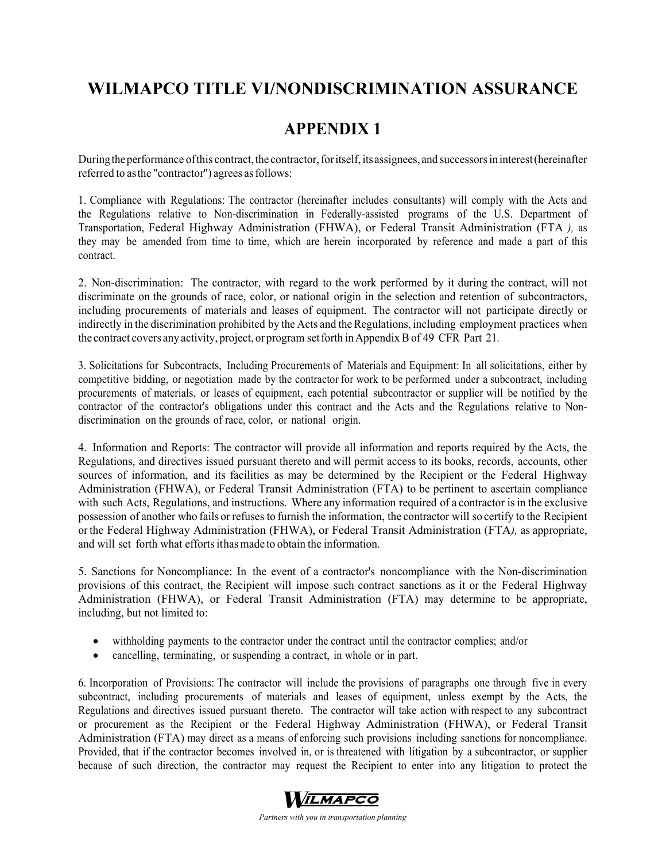# **WILMAPCO TITLE VI/NONDISCRIMINATION ASSURANCE**

## **APPENDIX 1**

During the performance of this contract, the contractor, for itself, its assignees, and successors in interest (hereinafter referred to as the "contractor'') agrees as follows:

1. Compliance with Regulations: The contractor (hereinafter includes consultants) will comply with the Acts and the Regulations relative to Non-discrimination in Federally-assisted programs of the U.S. Department of Transportation, Federal Highway Administration (FHWA), or Federal Transit Administration (FTA *),* as they may be amended from time to time, which are herein incorporated by reference and made a part of this contract.

2. Non-discrimination: The contractor, with regard to the work performed by it during the contract, will not discriminate on the grounds of race, color, or national origin in the selection and retention of subcontractors, including procurements of materials and leases of equipment. The contractor will not participate directly or indirectly in the discrimination prohibited by the Acts and the Regulations, including employment practices when the contract covers any activity, project, or program set forth in Appendix B of 49 CFR Part 21*.*

3. Solicitations for Subcontracts, Including Procurements of Materials and Equipment: In all solicitations, either by competitive bidding, or negotiation made by the contractor for work to be performed under a subcontract, including procurements of materials, or leases of equipment, each potential subcontractor or supplier will be notified by the contractor of the contractor's obligations under this contract and the Acts and the Regulations relative to Nondiscrimination on the grounds of race, color, or national origin.

4. Information and Reports: The contractor will provide all information and reports required by the Acts, the Regulations, and directives issued pursuant thereto and will permit access to its books, records, accounts, other sources of information, and its facilities as may be determined by the Recipient or the Federal Highway Administration (FHWA), or Federal Transit Administration (FTA) to be pertinent to ascertain compliance with such Acts, Regulations, and instructions. Where any information required of a contractor is in the exclusive possession of another who fails or refuses to furnish the information, the contractor will so certify to the Recipient or the Federal Highway Administration (FHWA), or Federal Transit Administration (FTA*),* as appropriate, and will set forth what efforts it has made to obtain the information.

5. Sanctions for Noncompliance: In the event of a contractor's noncompliance with the Non-discrimination provisions of this contract, the Recipient will impose such contract sanctions as it or the Federal Highway Administration (FHWA), or Federal Transit Administration (FTA) may determine to be appropriate, including, but not limited to:

- withholding payments to the contractor under the contract until the contractor complies; and/or
- cancelling, terminating, or suspending a contract, in whole or in part.

6. Incorporation of Provisions: The contractor will include the provisions of paragraphs one through five in every subcontract, including procurements of materials and leases of equipment, unless exempt by the Acts, the Regulations and directives issued pursuant thereto. The contractor will take action with respect to any subcontract or procurement as the Recipient or the Federal Highway Administration (FHWA), or Federal Transit Administration (FTA) may direct as a means of enforcing such provisions including sanctions for noncompliance. Provided, that if the contractor becomes involved in, or is threatened with litigation by a subcontractor, or supplier because of such direction, the contractor may request the Recipient to enter into any litigation to protect the



*Partners with you in transportation planning*